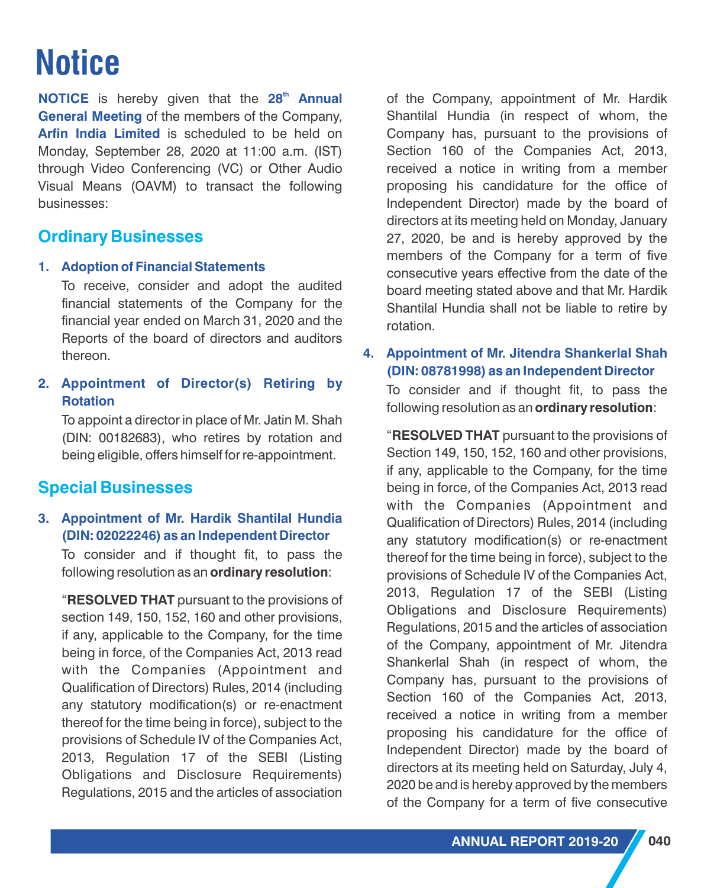# **Notice**

**NOTICE** is hereby given that the 28<sup>th</sup> Annual **General Meeting** of the members of the Company, **Arfin India Limited** is scheduled to be held on Monday, September 28, 2020 at 11:00 a.m. (IST) through Video Conferencing (VC) or Other Audio Visual Means (OAVM) to transact the following businesses:

# **Ordinary Businesses**

#### **1. Adoption of Financial Statements**

To receive, consider and adopt the audited financial statements of the Company for the financial year ended on March 31, 2020 and the Reports of the board of directors and auditors thereon.

**2. Appointment of Director(s) Retiring by Rotation**

To appoint a director in place of Mr. Jatin M. Shah (DIN: 00182683), who retires by rotation and being eligible, offers himself for re-appointment.

# **Special Businesses**

### **3. Appointment of Mr. Hardik Shantilal Hundia (DIN: 02022246) as an Independent Director**

To consider and if thought fit, to pass the following resolution as an **ordinary resolution**:

"**RESOLVED THAT** pursuant to the provisions of section 149, 150, 152, 160 and other provisions, if any, applicable to the Company, for the time being in force, of the Companies Act, 2013 read with the Companies (Appointment and Qualification of Directors) Rules, 2014 (including any statutory modification(s) or re-enactment thereof for the time being in force), subject to the provisions of Schedule IV of the Companies Act, 2013, Regulation 17 of the SEBI (Listing Obligations and Disclosure Requirements) Regulations, 2015 and the articles of association

of the Company, appointment of Mr. Hardik Shantilal Hundia (in respect of whom, the Company has, pursuant to the provisions of Section 160 of the Companies Act, 2013, received a notice in writing from a member proposing his candidature for the office of Independent Director) made by the board of directors at its meeting held on Monday, January 27, 2020, be and is hereby approved by the members of the Company for a term of five consecutive years effective from the date of the board meeting stated above and that Mr. Hardik Shantilal Hundia shall not be liable to retire by rotation.

# **4. Appointment of Mr. Jitendra Shankerlal Shah (DIN: 08781998) as an Independent Director**

To consider and if thought fit, to pass the following resolution as an **ordinary resolution**:

"**RESOLVED THAT** pursuant to the provisions of Section 149, 150, 152, 160 and other provisions, if any, applicable to the Company, for the time being in force, of the Companies Act, 2013 read with the Companies (Appointment and Qualification of Directors) Rules, 2014 (including any statutory modification(s) or re-enactment thereof for the time being in force), subject to the provisions of Schedule IV of the Companies Act, 2013, Regulation 17 of the SEBI (Listing Obligations and Disclosure Requirements) Regulations, 2015 and the articles of association of the Company, appointment of Mr. Jitendra Shankerlal Shah (in respect of whom, the Company has, pursuant to the provisions of Section 160 of the Companies Act, 2013, received a notice in writing from a member proposing his candidature for the office of Independent Director) made by the board of directors at its meeting held on Saturday, July 4, 2020 be and is hereby approved by the members of the Company for a term of five consecutive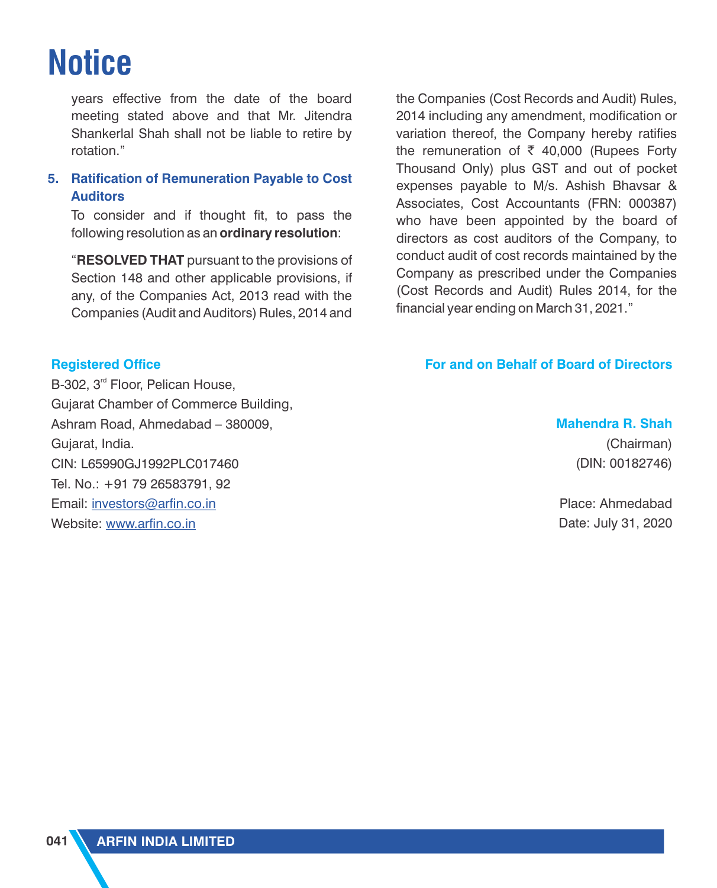# **Notice**

years effective from the date of the board meeting stated above and that Mr. Jitendra Shankerlal Shah shall not be liable to retire by rotation."

### **5. Ratification of Remuneration Payable to Cost Auditors**

To consider and if thought fit, to pass the following resolution as an **ordinary resolution**:

"**RESOLVED THAT** pursuant to the provisions of Section 148 and other applicable provisions, if any, of the Companies Act, 2013 read with the Companies (Audit and Auditors) Rules, 2014 and

**Registered Office**

B-302, 3<sup>rd</sup> Floor, Pelican House, Gujarat Chamber of Commerce Building, Ashram Road, Ahmedabad – 380009, Gujarat, India. CIN: L65990GJ1992PLC017460 Tel. No.: +91 79 26583791, 92 Email: <u>[investors@arfin.co.in](mailto:investors@arfin.co.in)</u> Website: <u>[www.arfin.co.in](http://www.arfin.co.in/pdf/policies/remuneration-of-directors-key-managerial-personnel-and-senior-employees-policy.pdfwww.arfin.co.in)</u>

the Companies (Cost Records and Audit) Rules, 2014 including any amendment, modification or variation thereof, the Company hereby ratifies the remuneration of  $\bar{\tau}$  40,000 (Rupees Forty Thousand Only) plus GST and out of pocket expenses payable to M/s. Ashish Bhavsar & Associates, Cost Accountants (FRN: 000387) who have been appointed by the board of directors as cost auditors of the Company, to conduct audit of cost records maintained by the Company as prescribed under the Companies (Cost Records and Audit) Rules 2014, for the financial year ending on March 31, 2021."

### **For and on Behalf of Board of Directors**

## **Mahendra R. Shah**

(Chairman) (DIN: 00182746)

Place: Ahmedabad Date: July 31, 2020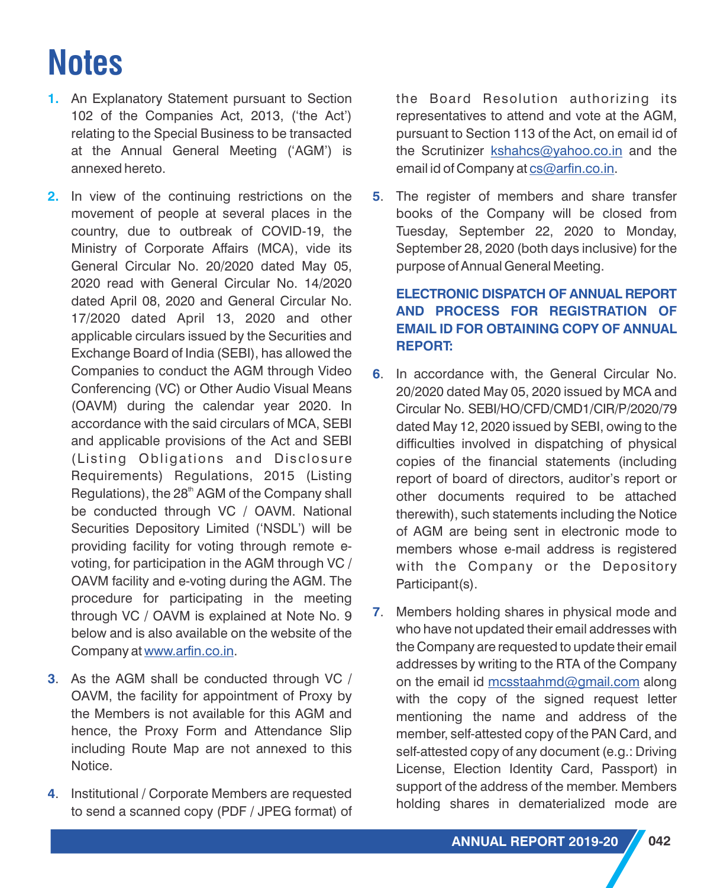- **1.** An Explanatory Statement pursuant to Section 102 of the Companies Act, 2013, ('the Act') relating to the Special Business to be transacted at the Annual General Meeting ('AGM') is annexed hereto.
- **2.** In view of the continuing restrictions on the movement of people at several places in the country, due to outbreak of COVID-19, the Ministry of Corporate Affairs (MCA), vide its General Circular No. 20/2020 dated May 05, 2020 read with General Circular No. 14/2020 dated April 08, 2020 and General Circular No. 17/2020 dated April 13, 2020 and other applicable circulars issued by the Securities and Exchange Board of India (SEBI), has allowed the Companies to conduct the AGM through Video Conferencing (VC) or Other Audio Visual Means (OAVM) during the calendar year 2020. In accordance with the said circulars of MCA, SEBI and applicable provisions of the Act and SEBI (Listing Obligations and Disclosure Requirements) Regulations, 2015 (Listing Regulations), the  $28<sup>th</sup>$  AGM of the Company shall be conducted through VC / OAVM. National Securities Depository Limited ('NSDL') will be providing facility for voting through remote evoting, for participation in the AGM through VC / OAVM facility and e-voting during the AGM. The procedure for participating in the meeting through VC / OAVM is explained at Note No. 9 below and is also available on the website of the Companyat www.arfin.co.in.
- . As the AGM shall be conducted through VC / **3** OAVM, the facility for appointment of Proxy by the Members is not available for this AGM and hence, the Proxy Form and Attendance Slip including Route Map are not annexed to this Notice.
- . Institutional / Corporate Members are requested **4** to send a scanned copy (PDF / JPEG format) of

the Board Resolution authorizing its representatives to attend and vote at the AGM, pursuant to Section 113 of the Act, on email id of the Scrutinizer **kshahcs@yahoo.co.in** and the email id of Company at <u>cs@arfin[.](mailto:cs@arfin.co.in)co.in</u>.

. The register of members and share transfer **5** books of the Company will be closed from Tuesday, September 22, 2020 to Monday, September 28, 2020 (both days inclusive) for the purpose of Annual General Meeting.

### **ELECTRONIC DISPATCH OF ANNUAL REPORT AND PROCESS FOR REGISTRATION OF EMAIL ID FOR OBTAINING COPY OF ANNUAL REPORT:**

- . In accordance with, the General Circular No. **6** 20/2020 dated May 05, 2020 issued by MCA and Circular No. SEBI/HO/CFD/CMD1/CIR/P/2020/79 dated May 12, 2020 issued by SEBI, owing to the difficulties involved in dispatching of physical copies of the financial statements (including report of board of directors, auditor's report or other documents required to be attached therewith), such statements including the Notice of AGM are being sent in electronic mode to members whose e-mail address is registered with the Company or the Depository Participant(s).
- . Members holding shares in physical mode and **7** who have not updated their email addresses with the Company are requested to update their email addresses by writing to the RTA of the Company onthe email id mcsstaahmd@gmail.com along with the copy of the signed request letter mentioning the name and address of the member, self-attested copy of the PAN Card, and self-attested copy of any document (e.g.: Driving License, Election Identity Card, Passport) in support of the address of the member. Members holding shares in dematerialized mode are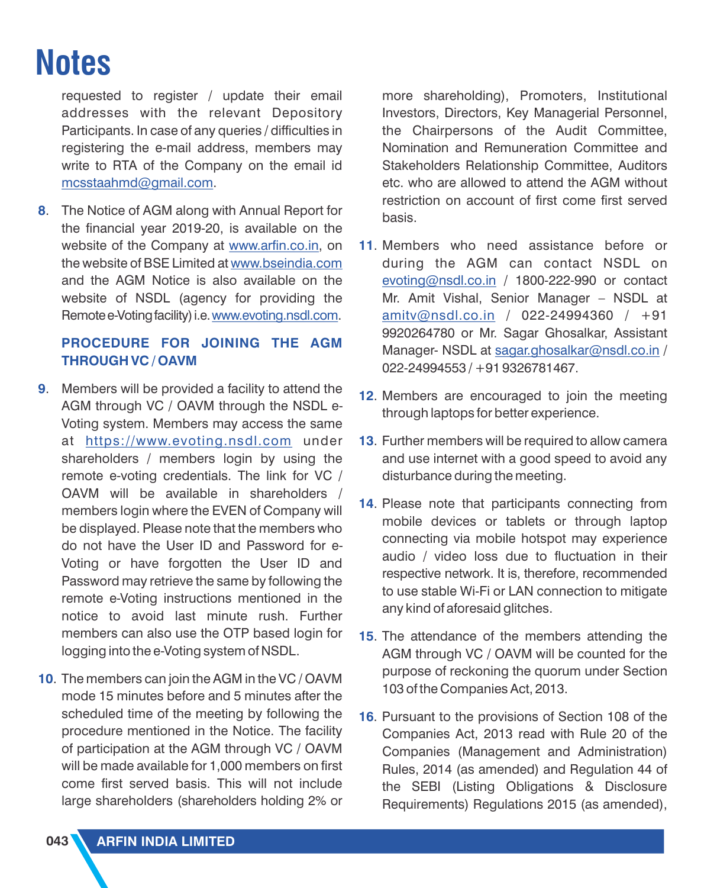requested to register / update their email addresses with the relevant Depository Participants. In case of any queries / difficulties in registering the e-mail address, members may write to RTA of the Company on the email id <u>[mcsstaahmd@gmail.com](mailto:mcsstaahmd@gmail.com)</u>.

. The Notice of AGM along with Annual Report for **8** the financial year 2019-20, is available on the website of the Company at <u>www.arfin.co.in</u>[,](http://www.arfin.co.in/pdf/policies/remuneration-of-directors-key-managerial-personnel-and-senior-employees-policy.pdfwww.arfin.co.in) on the website of BSE Limited at <u>[www.bseindia.com](http://www.arfin.co.in/pdf/policies/remuneration-of-directors-key-managerial-personnel-and-senior-employees-policy.pdfwww.bseindia.com)</u> and the AGM Notice is also available on the website of NSDL (agency for providing the Remote e-Voting facility) i.e. <u>[www.evoting.nsdl.com](http://www.arfin.co.in/pdf/policies/remuneration-of-directors-key-managerial-personnel-and-senior-employees-policy.pdfwww.evoting.nsdl.com)</u>.

### **PROCEDURE FOR JOINING THE AGM THROUGH VC / OAVM**

- . Members will be provided a facility to attend the **9** AGM through VC / OAVM through the NSDL e-Voting system. Members may access the same at <u>[https://www.evoting.nsdl.com](http://www.arfin.co.in/pdf/policies/remuneration-of-directors-key-managerial-personnel-and-senior-employees-policy.pdfwww.evoting.nsdl.com)</u> under shareholders / members login by using the remote e-voting credentials. The link for VC / OAVM will be available in shareholders / members login where the EVEN of Company will be displayed. Please note that the members who do not have the User ID and Password for e-Voting or have forgotten the User ID and Password may retrieve the same by following the remote e-Voting instructions mentioned in the notice to avoid last minute rush. Further members can also use the OTP based login for logging into the e-Voting system of NSDL.
- . The members can join the AGM in the VC / OAVM **10** mode 15 minutes before and 5 minutes after the scheduled time of the meeting by following the procedure mentioned in the Notice. The facility of participation at the AGM through VC / OAVM will be made available for 1,000 members on first come first served basis. This will not include large shareholders (shareholders holding 2% or

more shareholding), Promoters, Institutional Investors, Directors, Key Managerial Personnel, the Chairpersons of the Audit Committee, Nomination and Remuneration Committee and Stakeholders Relationship Committee, Auditors etc. who are allowed to attend the AGM without restriction on account of first come first served basis.

- **11.** Members who need assistance before or during the AGM can contact NSDL on [evoting@nsdl.co.in](mailto:evoting@nsdl.co.in) / 1800-222-990 or contact Mr. Amit Vishal, Senior Manager – NSDL at <u>[amitv@nsdl.co.in](mailto:amitv@nsdl.co.in)</u> / 022-24994360 / +91 9920264780 or Mr. Sagar Ghosalkar, Assistant Manager-NSDL at sagar.ghosalkar@nsdl.co.in / 022-24994553 / +91 9326781467.
- **12.** Members are encouraged to join the meeting through laptops for better experience.
- **13**. Further members will be required to allow camera and use internet with a good speed to avoid any disturbance during the meeting.
- **14.** Please note that participants connecting from mobile devices or tablets or through laptop connecting via mobile hotspot may experience audio / video loss due to fluctuation in their respective network. It is, therefore, recommended to use stable Wi-Fi or LAN connection to mitigate any kind of aforesaid glitches.
- **15.** The attendance of the members attending the AGM through VC / OAVM will be counted for the purpose of reckoning the quorum under Section 103 of the Companies Act, 2013.
- **16.** Pursuant to the provisions of Section 108 of the Companies Act, 2013 read with Rule 20 of the Companies (Management and Administration) Rules, 2014 (as amended) and Regulation 44 of the SEBI (Listing Obligations & Disclosure Requirements) Regulations 2015 (as amended),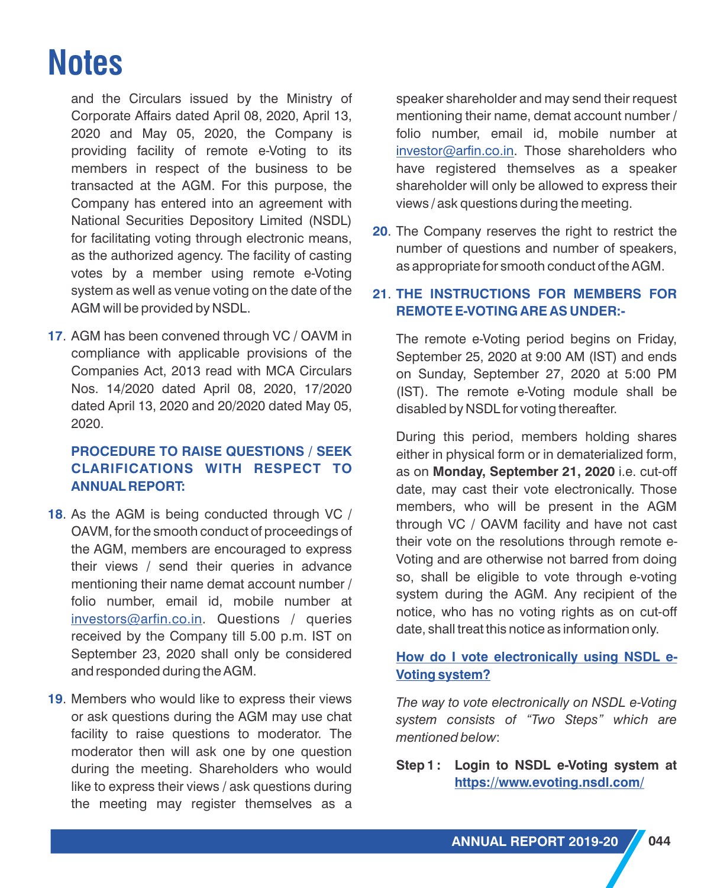and the Circulars issued by the Ministry of Corporate Affairs dated April 08, 2020, April 13, 2020 and May 05, 2020, the Company is providing facility of remote e-Voting to its members in respect of the business to be transacted at the AGM. For this purpose, the Company has entered into an agreement with National Securities Depository Limited (NSDL) for facilitating voting through electronic means, as the authorized agency. The facility of casting votes by a member using remote e-Voting system as well as venue voting on the date of the AGM will be provided by NSDL.

. AGM has been convened through VC / OAVM in **17** compliance with applicable provisions of the Companies Act, 2013 read with MCA Circulars Nos. 14/2020 dated April 08, 2020, 17/2020 dated April 13, 2020 and 20/2020 dated May 05, 2020.

#### **PROCEDURE TO RAISE QUESTIONS / SEEK CLARIFICATIONS WITH RESPECT TO ANNUAL REPORT:**

- **18.** As the AGM is being conducted through VC / OAVM, for the smooth conduct of proceedings of the AGM, members are encouraged to express their views / send their queries in advance mentioning their name demat account number / folio number, email id, mobile number at <u>[investors@arfin.co.in](mailto:investors@arfin.co.in)</u>. Questions / queries received by the Company till 5.00 p.m. IST on September 23, 2020 shall only be considered and responded during the AGM.
- **19.** Members who would like to express their views or ask questions during the AGM may use chat facility to raise questions to moderator. The moderator then will ask one by one question during the meeting. Shareholders who would like to express their views / ask questions during the meeting may register themselves as a

speaker shareholder and may send their request mentioning their name, demat account number / folio number, email id, mobile number at [investor@arfin.co.in](mailto:investors@arfin.co.in). Those shareholders who have registered themselves as a speaker shareholder will only be allowed to express their views / ask questions during the meeting.

**20**. The Company reserves the right to restrict the number of questions and number of speakers, as appropriate for smooth conduct of the AGM.

#### . **21 THE INSTRUCTIONS FOR MEMBERS FOR REMOTE E-VOTING ARE AS UNDER:-**

The remote e-Voting period begins on Friday, September 25, 2020 at 9:00 AM (IST) and ends on Sunday, September 27, 2020 at 5:00 PM (IST). The remote e-Voting module shall be disabled by NSDL for voting thereafter.

During this period, members holding shares either in physical form or in dematerialized form, as on **Monday, September 21, 2020** i.e. cut-off date, may cast their vote electronically. Those members, who will be present in the AGM through VC / OAVM facility and have not cast their vote on the resolutions through remote e-Voting and are otherwise not barred from doing so, shall be eligible to vote through e-voting system during the AGM. Any recipient of the notice, who has no voting rights as on cut-off date, shall treat this notice as information only.

### **How do I vote electronically using NSDL e-Voting system?**

*The way to vote electronically on NSDL e-Voting system consists of "Two Steps" which are mentioned below*:

#### **Step 1 : Login to NSDL e-Voting system at [https://www.evoting.nsdl.com/](http://www.arfin.co.in/pdf/policies/remuneration-of-directors-key-managerial-personnel-and-senior-employees-policy.pdfwww.evoting.nsdl.com)**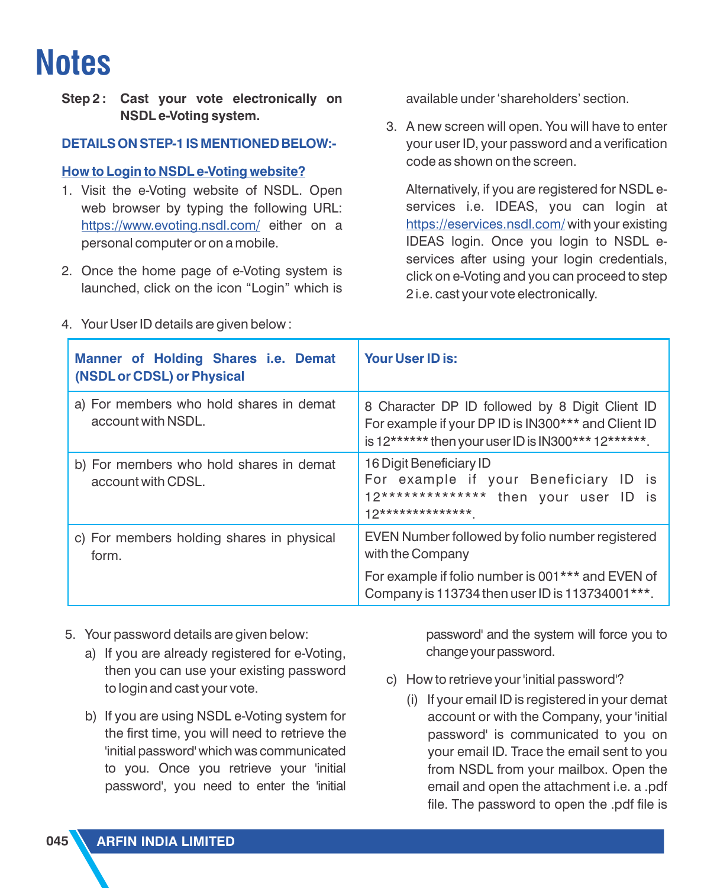**Step 2 : Cast your vote electronically on NSDL e-Voting system.**

#### **DETAILS ON STEP-1 IS MENTIONED BELOW:-**

#### **How to Login to NSDL e-Voting website?**

- 1. Visit the e-Voting website of NSDL. Open web browser by typing the following URL: <u>[https://www.evoting.nsdl.com/](http://www.arfin.co.in/pdf/policies/remuneration-of-directors-key-managerial-personnel-and-senior-employees-policy.pdfwww.evoting.nsdl.com)</u> either on a personal computer or on a mobile.
- 2. Once the home page of e-Voting system is launched, click on the icon "Login" which is
- 4. Your User ID details are given below :

available under 'shareholders' section.

3. A new screen will open. You will have to enter your user ID, your password and a verification code as shown on the screen.

Alternatively, if you are registered for NSDL eservices i.e. IDEAS, you can login at <u><https://eservices.nsdl.com/></u> with your existing IDEAS login. Once you login to NSDL eservices after using your login credentials, click on e-Voting and you can proceed to step 2 i.e. cast your vote electronically.

| Manner of Holding Shares i.e. Demat<br>(NSDL or CDSL) or Physical | <b>Your User ID is:</b>                                                                                                                                       |  |
|-------------------------------------------------------------------|---------------------------------------------------------------------------------------------------------------------------------------------------------------|--|
| a) For members who hold shares in demat<br>account with NSDL.     | 8 Character DP ID followed by 8 Digit Client ID<br>For example if your DP ID is IN300*** and Client ID<br>is 12****** then your user ID is IN300*** 12******. |  |
| b) For members who hold shares in demat<br>account with CDSL.     | 16 Digit Beneficiary ID<br>For example if your Beneficiary ID is<br>12************** then your user ID<br>is:<br>$12******************$                       |  |
| c) For members holding shares in physical<br>form.                | EVEN Number followed by folio number registered<br>with the Company                                                                                           |  |
|                                                                   | For example if folio number is 001*** and EVEN of<br>Company is 113734 then user ID is 113734001***.                                                          |  |

- 5. Your password details are given below:
	- a) If you are already registered for e-Voting. then you can use your existing password to login and cast your vote.
	- b) If you are using NSDL e-Voting system for the first time, you will need to retrieve the 'initial password' which was communicated to you. Once you retrieve your 'initial password', you need to enter the 'initial

password' and the system will force you to change your password.

- c) How to retrieve your 'initial password'?
	- ( i) If your email ID is registered in your demat account or with the Company, your 'initial password' is communicated to you on your email ID. Trace the email sent to you from NSDL from your mailbox. Open the email and open the attachment i.e. a .pdf file. The password to open the .pdf file is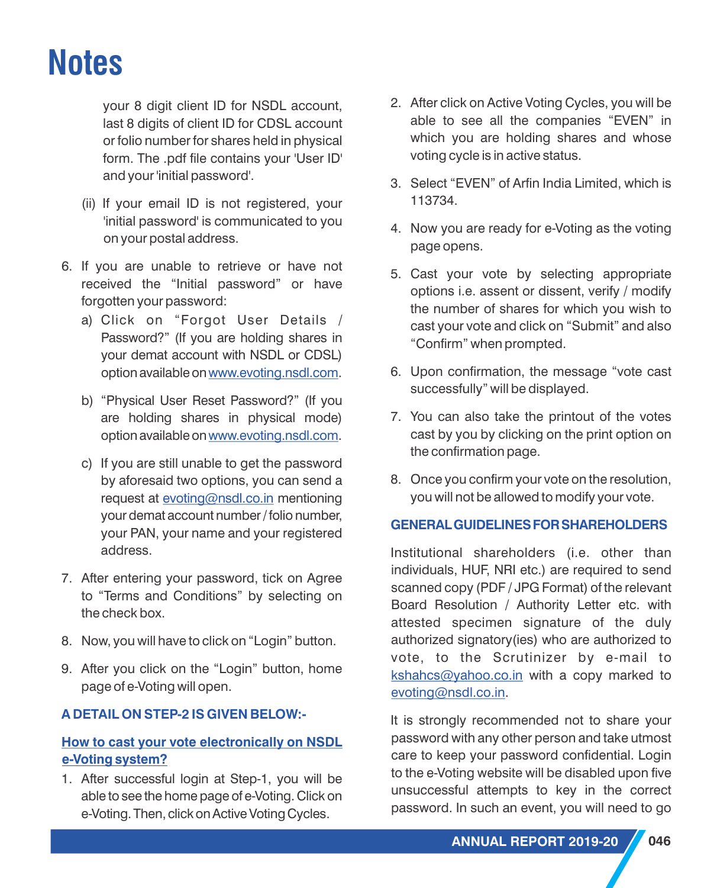your 8 digit client ID for NSDL account, last 8 digits of client ID for CDSL account or folio number for shares held in physical form. The .pdf file contains your 'User ID' and your 'initial password'.

- (ii) If your email ID is not registered, your 'initial password' is communicated to you on your postal address.
- 6. If you are unable to retrieve or have not received the "Initial password" or have forgotten your password:
	- a) Click on "Forgot User Details / Password?" (If you are holding shares in your demat account with NSDL or CDSL) option available on <u>[www.evoting.nsdl.com](http://www.arfin.co.in/pdf/policies/remuneration-of-directors-key-managerial-personnel-and-senior-employees-policy.pdfwww.evoting.nsdl.com)</u>.
	- b) "Physical User Reset Password?" (If you are holding shares in physical mode) option available on <u>[www.evoting.nsdl.com](http://www.arfin.co.in/pdf/policies/remuneration-of-directors-key-managerial-personnel-and-senior-employees-policy.pdfwww.evoting.nsdl.com)</u>.
	- c) If you are still unable to get the password by aforesaid two options, you can send a request at <u>[evoting@nsdl.co.in](mailto:evoting@nsdl.co.in)</u> mentioning your demat account number/ folio number, your PAN, your name and your registered address.
- 7. After entering your password, tick on Agree to "Terms and Conditions" by selecting on the check box.
- 8. Now, you will have to click on "Login" button.
- 9. After you click on the "Login" button, home page of e-Voting will open.

## **A DETAIL ON STEP-2 IS GIVEN BELOW:-**

### **How to cast your vote electronically on NSDL e-Voting system?**

1. After successful login at Step-1, you will be able to see the home page of e-Voting. Click on e-Voting. Then, click on Active Voting Cycles.

- 2. After click on Active Voting Cycles, you will be able to see all the companies "EVEN" in which you are holding shares and whose voting cycle is in active status.
- 3. Select "EVEN" of Arfin India Limited, which is 113734.
- 4. Now you are ready for e-Voting as the voting page opens.
- 5. Cast your vote by selecting appropriate options i.e. assent or dissent, verify / modify the number of shares for which you wish to cast your vote and click on "Submit" and also "Confirm" when prompted.
- 6. Upon confirmation, the message "vote cast successfully" will be displayed.
- 7. You can also take the printout of the votes cast by you by clicking on the print option on the confirmation page.
- 8. Once you confirm your vote on the resolution, you will not be allowed to modify your vote.

### **GENERALGUIDELINESFORSHAREHOLDERS**

Institutional shareholders (i.e. other than individuals, HUF, NRI etc.) are required to send scanned copy (PDF / JPG Format) of the relevant Board Resolution / Authority Letter etc. with attested specimen signature of the duly authorized signatory(ies) who are authorized to vote, to the Scrutinizer by e-mail to [kshahcs@yahoo.co.in](mailto:kshahcs@yahoo.co.in) with a copy marked to [evoting@nsdl.co.in](mailto:evoting@nsdl.co.in).

It is strongly recommended not to share your password with any other person and take utmost care to keep your password confidential. Login to the e-Voting website will be disabled upon five unsuccessful attempts to key in the correct password. In such an event, you will need to go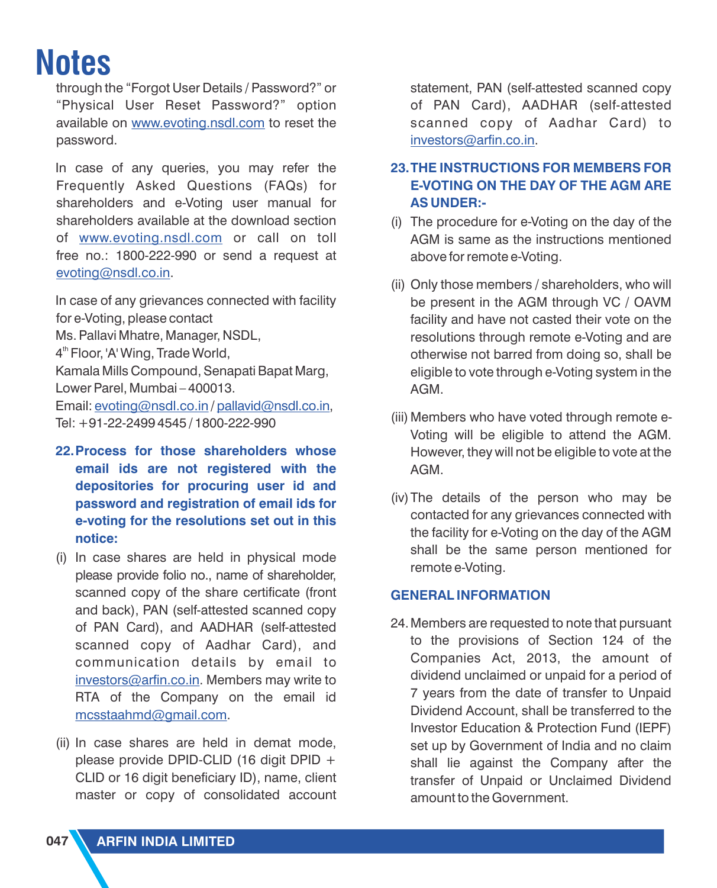through the "Forgot User Details / Password?" or "Physical User Reset Password?" option available on <u>www.evoting.nsdl.com</u> to reset the password.

In case of any queries, you may refer the Frequently Asked Questions (FAQs) for shareholders and e-Voting user manual for shareholders available at the download section of <u>[www.evoting.nsdl.com](http://www.arfin.co.in/pdf/policies/remuneration-of-directors-key-managerial-personnel-and-senior-employees-policy.pdfwww.evoting.nsdl.com)</u> or call on toll free no.: 1800-222-990 or send a request at <u>[evoting@nsdl.co.in](mailto:evoting@nsdl.co.in)</u>.

In case of any grievances connected with facility for e-Voting, please contact Ms. Pallavi Mhatre, Manager, NSDL,  $4<sup>th</sup>$  Floor, 'A' Wing, Trade World, Kamala Mills Compound, Senapati Bapat Marg, Lower Parel, Mumbai – 400013. Email: <u>evoting@nsdl.co.in</u> / pallavid@nsdl.co.in, Tel: +91-22-2499 4545 / 1800-222-990

- **22.Process for those shareholders whose email ids are not registered with the depositories for procuring user id and password and registration of email ids for e-voting for the resolutions set out in this notice:**
- (i) In case shares are held in physical mode please provide folio no., name of shareholder, scanned copy of the share certificate (front and back), PAN (self-attested scanned copy of PAN Card), and AADHAR (self-attested scanned copy of Aadhar Card), and communication details by email to <u>[investors@arfin.co.in](mailto:investors@arfin.co.in)</u>. Members may write to RTA of the Company on the email id . [mcsstaahmd@gmail.com](mailto:mcsstaahmd@gmail.com)
- (ii) In case shares are held in demat mode, please provide DPID-CLID (16 digit DPID + CLID or 16 digit beneficiary ID), name, client master or copy of consolidated account

statement, PAN (self-attested scanned copy of PAN Card), AADHAR (self-attested scanned copy of Aadhar Card) to <u>[investors@arfin.co.in](mailto:investors@arfin.co.in)</u>.

## **23.THE INSTRUCTIONS FOR MEMBERS FOR E-VOTING ON THE DAY OF THE AGM ARE AS UNDER:-**

- (i) The procedure for e-Voting on the day of the AGM is same as the instructions mentioned above for remote e-Voting.
- (ii) Only those members / shareholders, who will be present in the AGM through VC / OAVM facility and have not casted their vote on the resolutions through remote e-Voting and are otherwise not barred from doing so, shall be eligible to vote through e-Voting system in the AGM.
- (iii) Members who have voted through remote e-Voting will be eligible to attend the AGM. However, they will not be eligible to vote at the AGM.
- (iv)The details of the person who may be contacted for any grievances connected with the facility for e-Voting on the day of the AGM shall be the same person mentioned for remote e-Voting.

## **GENERAL INFORMATION**

24.Members are requested to note that pursuant to the provisions of Section 124 of the Companies Act, 2013, the amount of dividend unclaimed or unpaid for a period of 7 years from the date of transfer to Unpaid Dividend Account, shall be transferred to the Investor Education & Protection Fund (IEPF) set up by Government of India and no claim shall lie against the Company after the transfer of Unpaid or Unclaimed Dividend amount to the Government.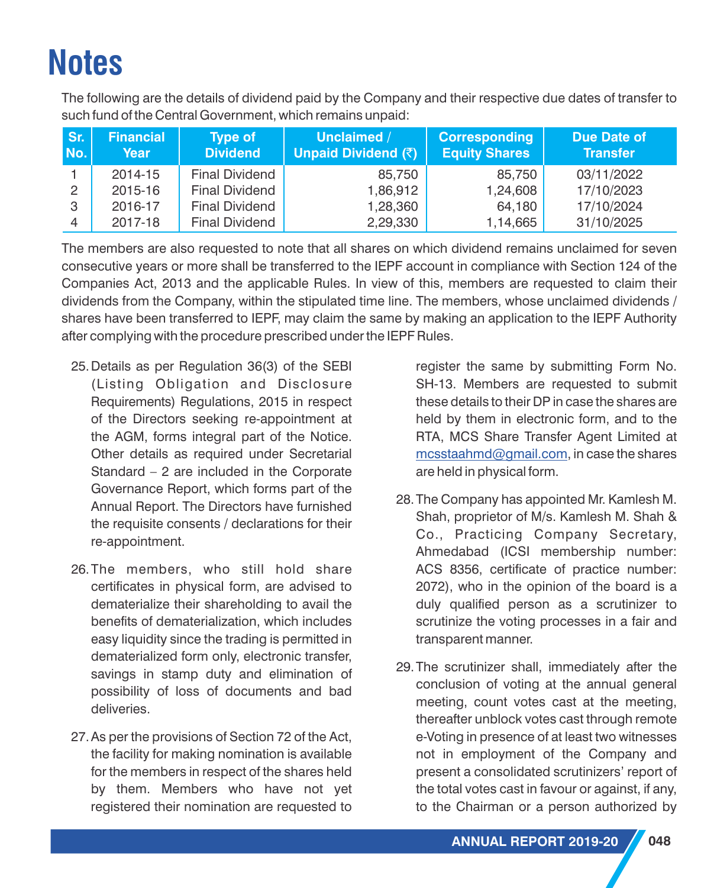The following are the details of dividend paid by the Company and their respective due dates of transfer to such fund of the Central Government, which remains unpaid:

| Sr.<br>No.     | <b>Financial</b><br>Year | <b>Type of</b><br><b>Dividend</b> | Unclaimed /<br>Unpaid Dividend (₹) | <b>Corresponding</b><br><b>Equity Shares</b> | <b>Due Date of</b><br><b>Transfer</b> |
|----------------|--------------------------|-----------------------------------|------------------------------------|----------------------------------------------|---------------------------------------|
|                | 2014-15                  | <b>Final Dividend</b>             | 85,750                             | 85,750                                       | 03/11/2022                            |
| $\overline{2}$ | 2015-16                  | <b>Final Dividend</b>             | 1,86,912                           | 1,24,608                                     | 17/10/2023                            |
| 3              | 2016-17                  | <b>Final Dividend</b>             | 1,28,360                           | 64,180                                       | 17/10/2024                            |
| $\overline{4}$ | 2017-18                  | <b>Final Dividend</b>             | 2,29,330                           | 1,14,665                                     | 31/10/2025                            |

The members are also requested to note that all shares on which dividend remains unclaimed for seven consecutive years or more shall be transferred to the IEPF account in compliance with Section 124 of the Companies Act, 2013 and the applicable Rules. In view of this, members are requested to claim their dividends from the Company, within the stipulated time line. The members, whose unclaimed dividends / shares have been transferred to IEPF, may claim the same by making an application to the IEPF Authority after complying with the procedure prescribed under the IEPF Rules.

- 25.Details as per Regulation 36(3) of the SEBI (Listing Obligation and Disclosure Requirements) Regulations, 2015 in respect of the Directors seeking re-appointment at the AGM, forms integral part of the Notice. Other details as required under Secretarial Standard – 2 are included in the Corporate Governance Report, which forms part of the Annual Report. The Directors have furnished the requisite consents / declarations for their re-appointment.
- 26.The members, who still hold share certificates in physical form, are advised to dematerialize their shareholding to avail the benefits of dematerialization, which includes easy liquidity since the trading is permitted in dematerialized form only, electronic transfer, savings in stamp duty and elimination of possibility of loss of documents and bad deliveries.
- 27.As per the provisions of Section 72 of the Act, the facility for making nomination is available for the members in respect of the shares held by them. Members who have not yet registered their nomination are requested to

register the same by submitting Form No. SH-13. Members are requested to submit these details to their DP in case the shares are held by them in electronic form, and to the RTA, MCS Share Transfer Agent Limited at  $\frac{\text{mcsstaahmd@gmail.com}}{\text{mcsstaahmd@gmail.com}}$  $\frac{\text{mcsstaahmd@gmail.com}}{\text{mcsstaahmd@gmail.com}}$  $\frac{\text{mcsstaahmd@gmail.com}}{\text{mcsstaahmd@gmail.com}}$  in case the shares are held in physical form.

- 28.The Company has appointed Mr. Kamlesh M. Shah, proprietor of M/s. Kamlesh M. Shah & Co., Practicing Company Secretary, Ahmedabad (ICSI membership number: ACS 8356, certificate of practice number: 2072), who in the opinion of the board is a duly qualified person as a scrutinizer to scrutinize the voting processes in a fair and transparent manner.
- 29.The scrutinizer shall, immediately after the conclusion of voting at the annual general meeting, count votes cast at the meeting, thereafter unblock votes cast through remote e-Voting in presence of at least two witnesses not in employment of the Company and present a consolidated scrutinizers' report of the total votes cast in favour or against, if any, to the Chairman or a person authorized by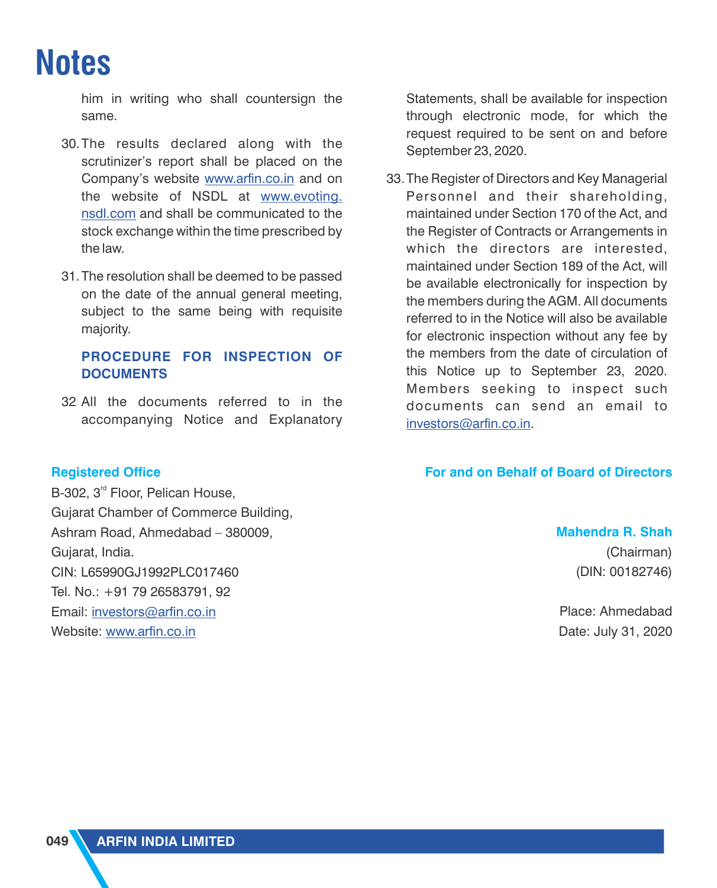him in writing who shall countersign the same.

- 30.The results declared along with the scrutinizer's report shall be placed on the Company's website www.arfin.co.in and on the website of NSDL at <u>www.evoting.</u> <u>nsdl.com</u> [and shall be communicated to the](http://www.arfin.co.in/pdf/policies/remuneration-of-directors-key-managerial-personnel-and-senior-employees-policy.pdfwww.evoting.nsdl.com) stock exchange within the time prescribed by the law.
- 31.The resolution shall be deemed to be passed on the date of the annual general meeting, subject to the same being with requisite majority.

#### **PROCEDURE FOR INSPECTION OF DOCUMENTS**

32 All the documents referred to in the accompanying Notice and Explanatory

#### **Registered Office**

B-302, 3<sup>rd</sup> Floor, Pelican House, Gujarat Chamber of Commerce Building, Ashram Road, Ahmedabad – 380009, Gujarat, India. CIN: L65990GJ1992PLC017460 Tel. No.: +91 79 26583791, 92 Email: <u>[investors@arfin.co.in](mailto:investors@arfin.co.in)</u> Website: <u>[www.arfin.co.in](http://www.arfin.co.in/pdf/policies/remuneration-of-directors-key-managerial-personnel-and-senior-employees-policy.pdfwww.arfin.co.in)</u>

Statements, shall be available for inspection through electronic mode, for which the request required to be sent on and before September 23, 2020.

33.The Register of Directors and Key Managerial Personnel and their shareholding, maintained under Section 170 of the Act, and the Register of Contracts or Arrangements in which the directors are interested, maintained under Section 189 of the Act, will be available electronically for inspection by the members during the AGM. All documents referred to in the Notice will also be available for electronic inspection without any fee by the members from the date of circulation of this Notice up to September 23, 2020. Members seeking to inspect such documents can send an email to [investors@arfin.co.in.](mailto:investors@arfin.co.in)

#### **For and on Behalf of Board of Directors**

# **Mahendra R. Shah**

(Chairman) (DIN: 00182746)

Place: Ahmedabad Date: July 31, 2020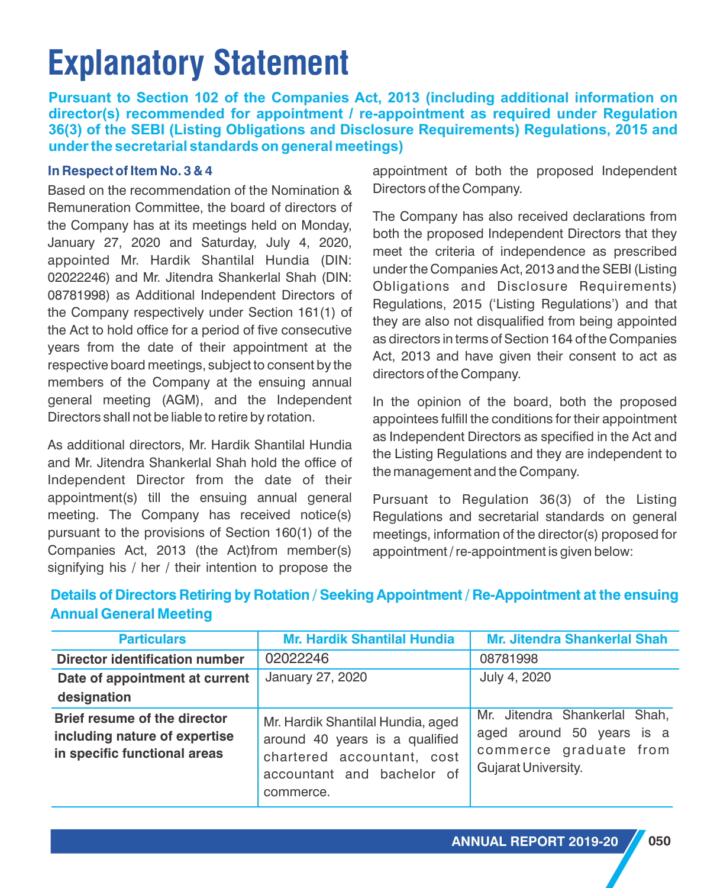# **Explanatory Statement**

**Pursuant to Section 102 of the Companies Act, 2013 (including additional information on director(s) recommended for appointment / re-appointment as required under Regulation 36(3) of the SEBI (Listing Obligations and Disclosure Requirements) Regulations, 2015 and under the secretarial standards on general meetings)**

#### **In Respect of Item No. 3 & 4**

Based on the recommendation of the Nomination & Remuneration Committee, the board of directors of the Company has at its meetings held on Monday, January 27, 2020 and Saturday, July 4, 2020, appointed Mr. Hardik Shantilal Hundia (DIN: 02022246) and Mr. Jitendra Shankerlal Shah (DIN: 08781998) as Additional Independent Directors of the Company respectively under Section 161(1) of the Act to hold office for a period of five consecutive years from the date of their appointment at the respective board meetings, subject to consent by the members of the Company at the ensuing annual general meeting (AGM), and the Independent Directors shall not be liable to retire by rotation.

As additional directors, Mr. Hardik Shantilal Hundia and Mr. Jitendra Shankerlal Shah hold the office of Independent Director from the date of their appointment(s) till the ensuing annual general meeting. The Company has received notice(s) pursuant to the provisions of Section 160(1) of the Companies Act, 2013 (the Act)from member(s) signifying his / her / their intention to propose the

appointment of both the proposed Independent Directors of the Company.

The Company has also received declarations from both the proposed Independent Directors that they meet the criteria of independence as prescribed under the Companies Act, 2013 and the SEBI (Listing Obligations and Disclosure Requirements) Regulations, 2015 ('Listing Regulations') and that they are also not disqualified from being appointed as directors in terms of Section 164 of the Companies Act, 2013 and have given their consent to act as directors of the Company.

In the opinion of the board, both the proposed appointees fulfill the conditions for their appointment as Independent Directors as specified in the Act and the Listing Regulations and they are independent to the management and the Company.

Pursuant to Regulation 36(3) of the Listing Regulations and secretarial standards on general meetings, information of the director(s) proposed for appointment / re-appointment is given below:

| <b>Particulars</b>                                                                            | <b>Mr. Hardik Shantilal Hundia</b>                                                                                                           | <b>Mr. Jitendra Shankerlal Shah</b>                                                                         |
|-----------------------------------------------------------------------------------------------|----------------------------------------------------------------------------------------------------------------------------------------------|-------------------------------------------------------------------------------------------------------------|
| <b>Director identification number</b>                                                         | 02022246                                                                                                                                     | 08781998                                                                                                    |
| Date of appointment at current                                                                | January 27, 2020                                                                                                                             | July 4, 2020                                                                                                |
| designation                                                                                   |                                                                                                                                              |                                                                                                             |
| Brief resume of the director<br>including nature of expertise<br>in specific functional areas | Mr. Hardik Shantilal Hundia, aged<br>around 40 years is a qualified<br>chartered accountant, cost<br>accountant and bachelor of<br>commerce. | Mr. Jitendra Shankerlal Shah,<br>aged around 50 years is a<br>commerce graduate from<br>Gujarat University. |

## **Details of Directors Retiring by Rotation / Seeking Appointment / Re-Appointment at the ensuing Annual General Meeting**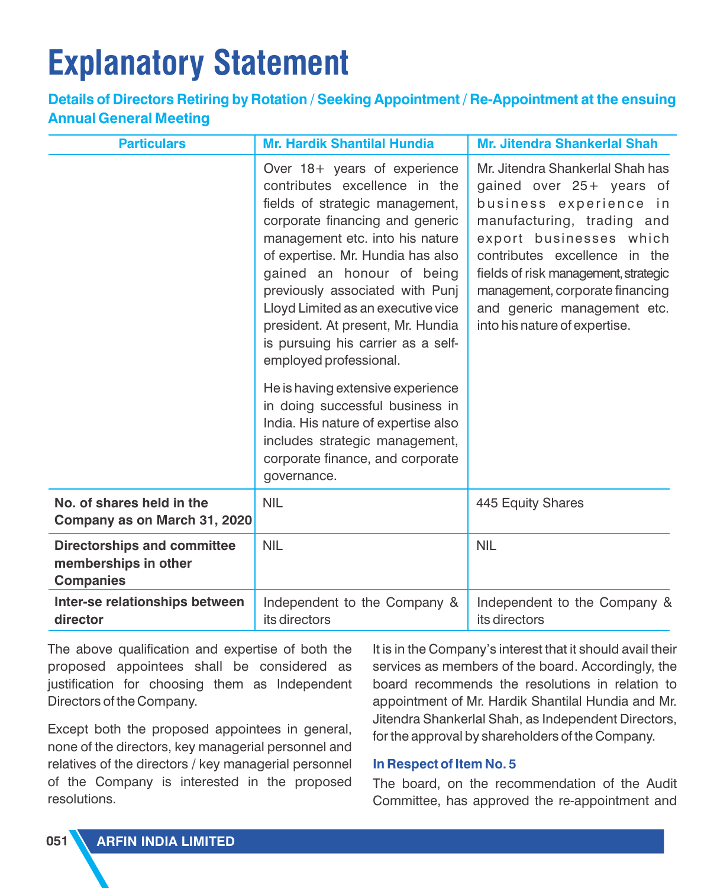# **Explanatory Statement**

## **Details of Directors Retiring by Rotation / Seeking Appointment / Re-Appointment at the ensuing Annual General Meeting**

| <b>Particulars</b>                                                             | <b>Mr. Hardik Shantilal Hundia</b>                                                                                                                                                                                                                                                                                                                                                                                     | <b>Mr. Jitendra Shankerlal Shah</b>                                                                                                                                                                                                                                                                                         |  |
|--------------------------------------------------------------------------------|------------------------------------------------------------------------------------------------------------------------------------------------------------------------------------------------------------------------------------------------------------------------------------------------------------------------------------------------------------------------------------------------------------------------|-----------------------------------------------------------------------------------------------------------------------------------------------------------------------------------------------------------------------------------------------------------------------------------------------------------------------------|--|
|                                                                                | Over 18+ years of experience<br>contributes excellence in the<br>fields of strategic management,<br>corporate financing and generic<br>management etc. into his nature<br>of expertise. Mr. Hundia has also<br>gained an honour of being<br>previously associated with Punj<br>Lloyd Limited as an executive vice<br>president. At present, Mr. Hundia<br>is pursuing his carrier as a self-<br>employed professional. | Mr. Jitendra Shankerlal Shah has<br>gained over 25+ years of<br>business experience in<br>manufacturing, trading and<br>export businesses which<br>contributes excellence in the<br>fields of risk management, strategic<br>management, corporate financing<br>and generic management etc.<br>into his nature of expertise. |  |
|                                                                                | He is having extensive experience<br>in doing successful business in<br>India. His nature of expertise also<br>includes strategic management,<br>corporate finance, and corporate<br>governance.                                                                                                                                                                                                                       |                                                                                                                                                                                                                                                                                                                             |  |
| No. of shares held in the<br>Company as on March 31, 2020                      | <b>NIL</b>                                                                                                                                                                                                                                                                                                                                                                                                             | 445 Equity Shares                                                                                                                                                                                                                                                                                                           |  |
| <b>Directorships and committee</b><br>memberships in other<br><b>Companies</b> | <b>NIL</b>                                                                                                                                                                                                                                                                                                                                                                                                             | <b>NIL</b>                                                                                                                                                                                                                                                                                                                  |  |
| Inter-se relationships between<br>director                                     | Independent to the Company &<br>its directors                                                                                                                                                                                                                                                                                                                                                                          | Independent to the Company &<br>its directors                                                                                                                                                                                                                                                                               |  |

The above qualification and expertise of both the proposed appointees shall be considered as justification for choosing them as Independent Directors of the Company.

Except both the proposed appointees in general, none of the directors, key managerial personnel and relatives of the directors / key managerial personnel of the Company is interested in the proposed resolutions.

It is in the Company's interest that it should avail their services as members of the board. Accordingly, the board recommends the resolutions in relation to appointment of Mr. Hardik Shantilal Hundia and Mr. Jitendra Shankerlal Shah, as Independent Directors, for the approval by shareholders of the Company.

#### **In Respect of Item No. 5**

The board, on the recommendation of the Audit Committee, has approved the re-appointment and